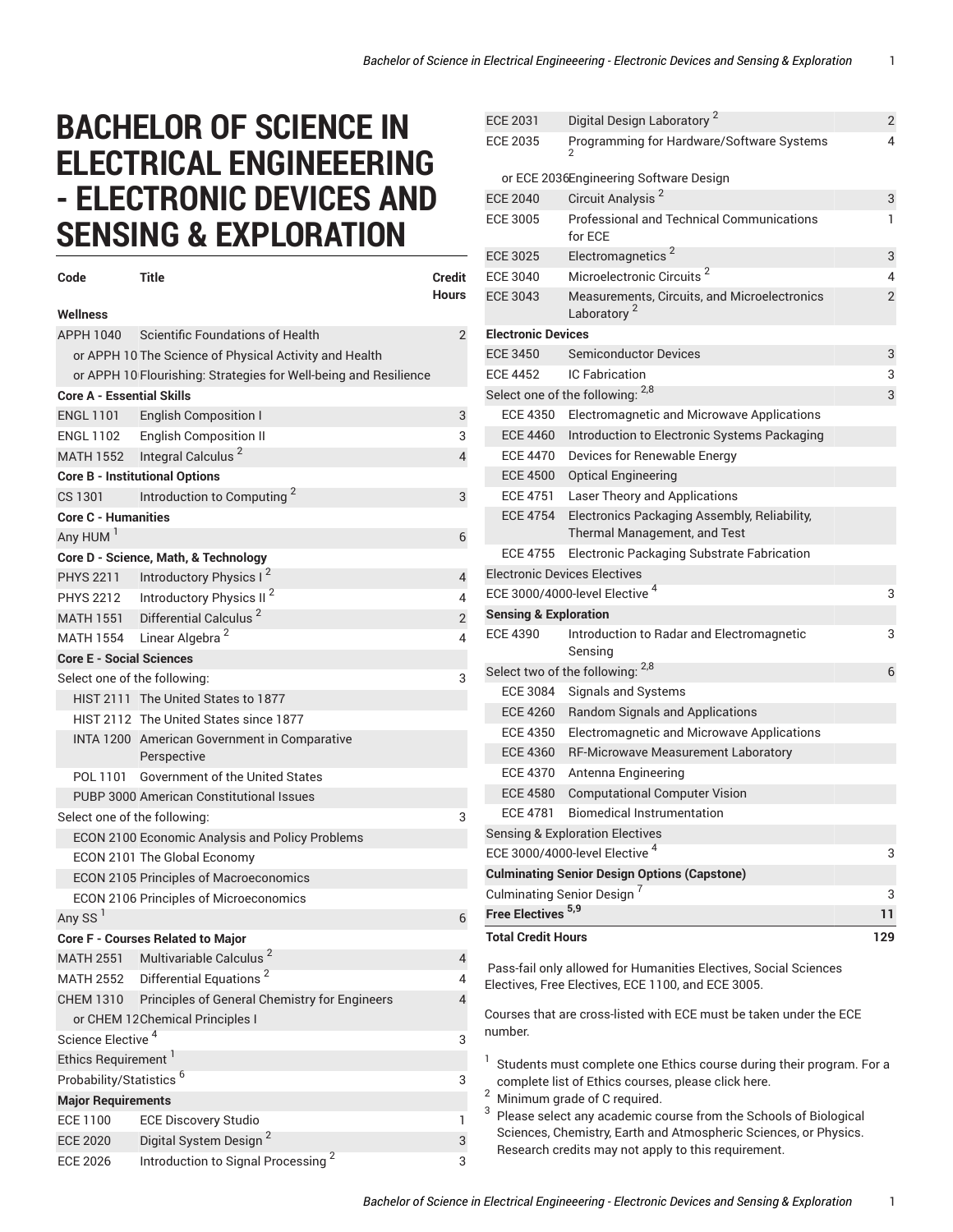## **BACHELOR OF SCIENCE IN ELECTRICAL ENGINEEERING - ELECTRONIC DEVICES AND SENSING & EXPLORATION**

| Code                                | Title                                                            | <b>Credit</b><br><b>Hours</b> |
|-------------------------------------|------------------------------------------------------------------|-------------------------------|
| Wellness                            |                                                                  |                               |
| APPH 1040                           | Scientific Foundations of Health                                 | $\overline{2}$                |
|                                     | or APPH 10 The Science of Physical Activity and Health           |                               |
|                                     | or APPH 10 Flourishing: Strategies for Well-being and Resilience |                               |
| <b>Core A - Essential Skills</b>    |                                                                  |                               |
| <b>ENGL 1101</b>                    | <b>English Composition I</b>                                     | 3                             |
| ENGL 1102                           | <b>English Composition II</b>                                    | 3                             |
|                                     | MATH 1552 Integral Calculus <sup>2</sup>                         | $\overline{4}$                |
|                                     | <b>Core B - Institutional Options</b>                            |                               |
| CS 1301                             | Introduction to Computing <sup>2</sup>                           | 3                             |
| <b>Core C - Humanities</b>          |                                                                  |                               |
| Any HUM <sup>1</sup>                |                                                                  | 6                             |
|                                     | Core D - Science, Math, & Technology                             |                               |
| <b>PHYS 2211</b>                    | Introductory Physics I <sup>2</sup>                              | 4                             |
| <b>PHYS 2212</b>                    | Introductory Physics II <sup>2</sup>                             | 4                             |
| <b>MATH 1551</b>                    | Differential Calculus <sup>2</sup>                               | $\overline{2}$                |
|                                     | MATH 1554 Linear Algebra <sup>2</sup>                            | 4                             |
| <b>Core E - Social Sciences</b>     |                                                                  |                               |
|                                     | Select one of the following:                                     | 3                             |
|                                     | HIST 2111 The United States to 1877                              |                               |
|                                     | HIST 2112 The United States since 1877                           |                               |
|                                     | INTA 1200 American Government in Comparative<br>Perspective      |                               |
| POL 1101                            | <b>Government of the United States</b>                           |                               |
|                                     | PUBP 3000 American Constitutional Issues                         |                               |
| Select one of the following:<br>3   |                                                                  |                               |
|                                     | ECON 2100 Economic Analysis and Policy Problems                  |                               |
|                                     | ECON 2101 The Global Economy                                     |                               |
|                                     | <b>ECON 2105 Principles of Macroeconomics</b>                    |                               |
|                                     | ECON 2106 Principles of Microeconomics                           |                               |
| Any SS <sup>I</sup>                 |                                                                  | 6                             |
|                                     | Core F - Courses Related to Major                                |                               |
| MATH 2551                           | Multivariable Calculus <sup>2</sup>                              | 4                             |
| <b>MATH 2552</b>                    | Differential Equations <sup>2</sup>                              | 4                             |
| <b>CHEM 1310</b>                    | Principles of General Chemistry for Engineers                    | 4                             |
|                                     | or CHEM 12 Chemical Principles I                                 |                               |
| Science Elective <sup>4</sup>       |                                                                  | 3                             |
| Ethics Requirement <sup>1</sup>     |                                                                  |                               |
| Probability/Statistics <sup>6</sup> |                                                                  | 3                             |
| <b>Major Requirements</b>           |                                                                  |                               |
| <b>ECE 1100</b>                     | <b>ECE Discovery Studio</b>                                      | 1                             |
| <b>ECE 2020</b>                     | Digital System Design <sup>2</sup>                               | 3                             |
| <b>ECE 2026</b>                     | Introduction to Signal Processing <sup>2</sup>                   | 3                             |

| <b>ECE 2031</b>                  | Digital Design Laboratory <sup>2</sup>                                                                                      | 2   |
|----------------------------------|-----------------------------------------------------------------------------------------------------------------------------|-----|
| <b>ECE 2035</b>                  | Programming for Hardware/Software Systems                                                                                   | 4   |
|                                  | or ECE 2036Engineering Software Design                                                                                      |     |
| <b>ECE 2040</b>                  | Circuit Analysis <sup>2</sup>                                                                                               | 3   |
| <b>ECE 3005</b>                  | <b>Professional and Technical Communications</b><br>for ECE                                                                 | 1   |
| <b>ECE 3025</b>                  | Electromagnetics <sup>2</sup>                                                                                               | 3   |
| <b>ECE 3040</b>                  | Microelectronic Circuits <sup>2</sup>                                                                                       | 4   |
| <b>ECE 3043</b>                  | Measurements, Circuits, and Microelectronics<br>Laboratory <sup>2</sup>                                                     | 2   |
| <b>Electronic Devices</b>        |                                                                                                                             |     |
| <b>ECE 3450</b>                  | <b>Semiconductor Devices</b>                                                                                                | 3   |
| <b>ECE 4452</b>                  | <b>IC Fabrication</b>                                                                                                       | 3   |
|                                  | Select one of the following: 2,8                                                                                            | 3   |
| <b>ECE 4350</b>                  | Electromagnetic and Microwave Applications                                                                                  |     |
| <b>ECE 4460</b>                  | Introduction to Electronic Systems Packaging                                                                                |     |
| <b>ECE 4470</b>                  | Devices for Renewable Energy                                                                                                |     |
| <b>ECE 4500</b>                  | <b>Optical Engineering</b>                                                                                                  |     |
| <b>ECE 4751</b>                  | Laser Theory and Applications                                                                                               |     |
| <b>ECE 4754</b>                  | Electronics Packaging Assembly, Reliability,<br>Thermal Management, and Test                                                |     |
| <b>ECE 4755</b>                  | Electronic Packaging Substrate Fabrication                                                                                  |     |
|                                  | <b>Electronic Devices Electives</b>                                                                                         |     |
|                                  | ECE 3000/4000-level Elective <sup>4</sup>                                                                                   | 3   |
| <b>Sensing &amp; Exploration</b> |                                                                                                                             |     |
| <b>ECE 4390</b>                  | Introduction to Radar and Electromagnetic                                                                                   | 3   |
|                                  | Sensing                                                                                                                     |     |
|                                  | Select two of the following: 2,8                                                                                            | 6   |
| <b>ECE 3084</b>                  | Signals and Systems                                                                                                         |     |
| <b>ECE 4260</b>                  | Random Signals and Applications                                                                                             |     |
| <b>ECE 4350</b>                  | Electromagnetic and Microwave Applications                                                                                  |     |
| <b>ECE 4360</b>                  | RF-Microwave Measurement Laboratory                                                                                         |     |
| <b>ECE 4370</b>                  | Antenna Engineering                                                                                                         |     |
| <b>ECE 4580</b>                  | <b>Computational Computer Vision</b>                                                                                        |     |
| <b>ECE 4781</b>                  | <b>Biomedical Instrumentation</b>                                                                                           |     |
|                                  | <b>Sensing &amp; Exploration Electives</b>                                                                                  |     |
|                                  | ECE 3000/4000-level Elective <sup>4</sup>                                                                                   | 3   |
|                                  | <b>Culminating Senior Design Options (Capstone)</b>                                                                         |     |
|                                  | Culminating Senior Design <sup>7</sup>                                                                                      | 3   |
| Free Electives <sup>5,9</sup>    |                                                                                                                             | 11  |
| <b>Total Credit Hours</b>        |                                                                                                                             | 129 |
|                                  | Pass-fail only allowed for Humanities Electives, Social Sciences<br>Electives, Free Electives, ECE 1100, and ECE 3005.      |     |
| number.                          | Courses that are cross-listed with ECE must be taken under the ECE                                                          |     |
| 1                                | Students must complete one Ethics course during their program. For a<br>complete list of Ethics courses, please click here. |     |

 $2$  Minimum grade of C required.

<sup>3</sup> Please select any academic course from the Schools of Biological Sciences, Chemistry, Earth and Atmospheric Sciences, or Physics. Research credits may not apply to this requirement.

*Bachelor of Science in Electrical Engineeering - Electronic Devices and Sensing & Exploration* 1